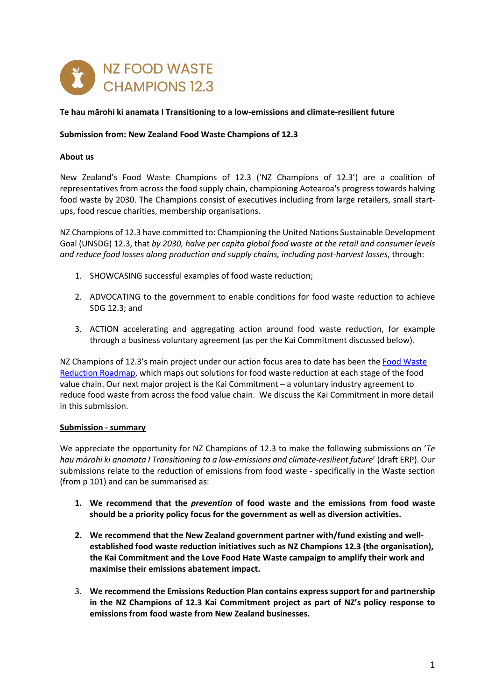

## **Te hau mārohi ki anamata I Transitioning to a low-emissions and climate-resilient future**

## **Submission from: New Zealand Food Waste Champions of 12.3**

#### **About us**

New Zealand's Food Waste Champions of 12.3 ('NZ Champions of 12.3') are a coalition of representatives from across the food supply chain, championing Aotearoa's progress towards halving food waste by 2030. The Champions consist of executives including from large retailers, small startups, food rescue charities, membership organisations.

NZ Champions of 12.3 have committed to: Championing the United Nations Sustainable Development Goal (UNSDG) 12.3, that *by 2030, halve per capita global food waste at the retail and consumer levels and reduce food losses along production and supply chains, including post-harvest losses*, through:

- 1. SHOWCASING successful examples of food waste reduction;
- 2. ADVOCATING to the government to enable conditions for food waste reduction to achieve SDG 12.3; and
- 3. ACTION accelerating and aggregating action around food waste reduction, for example through a business voluntary agreement (as per the Kai Commitment discussed below).

NZ Champions of 12.3's main project under our action focus area to date has been the Food Waste Reduction Roadmap, which maps out solutions for food waste reduction at each stage of the food value chain. Our next major project is the Kai Commitment – a voluntary industry agreement to reduce food waste from across the food value chain. We discuss the Kai Commitment in more detail in this submission.

#### **Submission - summary**

We appreciate the opportunity for NZ Champions of 12.3 to make the following submissions on '*Te hau mārohi ki anamata I Transitioning to a low-emissions and climate-resilient future*' (draft ERP). Our submissions relate to the reduction of emissions from food waste - specifically in the Waste section (from p 101) and can be summarised as:

- **1. We recommend that the** *prevention* **of food waste and the emissions from food waste should be a priority policy focus for the government as well as diversion activities.**
- **2. We recommend that the New Zealand government partner with/fund existing and wellestablished food waste reduction initiatives such as NZ Champions 12.3 (the organisation), the Kai Commitment and the Love Food Hate Waste campaign to amplify their work and maximise their emissions abatement impact.**
- 3. **We recommend the Emissions Reduction Plan contains express support for and partnership in the NZ Champions of 12.3 Kai Commitment project as part of NZ's policy response to emissions from food waste from New Zealand businesses.**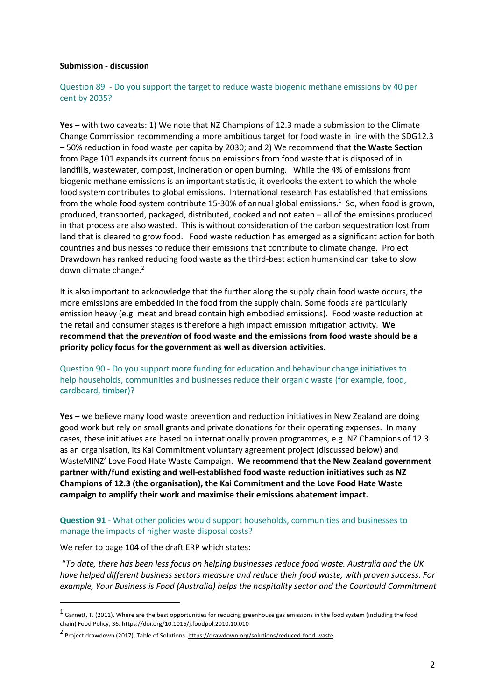#### **Submission - discussion**

## Question 89 - Do you support the target to reduce waste biogenic methane emissions by 40 per cent by 2035?

**Yes** – with two caveats: 1) We note that NZ Champions of 12.3 made a submission to the Climate Change Commission recommending a more ambitious target for food waste in line with the SDG12.3 – 50% reduction in food waste per capita by 2030; and 2) We recommend that **the Waste Section**  from Page 101 expands its current focus on emissions from food waste that is disposed of in landfills, wastewater, compost, incineration or open burning. While the 4% of emissions from biogenic methane emissions is an important statistic, it overlooks the extent to which the whole food system contributes to global emissions. International research has established that emissions from the whole food system contribute 15-30% of annual global emissions.<sup>1</sup> So, when food is grown, produced, transported, packaged, distributed, cooked and not eaten – all of the emissions produced in that process are also wasted. This is without consideration of the carbon sequestration lost from land that is cleared to grow food. Food waste reduction has emerged as a significant action for both countries and businesses to reduce their emissions that contribute to climate change. Project Drawdown has ranked reducing food waste as the third-best action humankind can take to slow down climate change.<sup>2</sup>

It is also important to acknowledge that the further along the supply chain food waste occurs, the more emissions are embedded in the food from the supply chain. Some foods are particularly emission heavy (e.g. meat and bread contain high embodied emissions). Food waste reduction at the retail and consumer stages is therefore a high impact emission mitigation activity. **We recommend that the** *prevention* **of food waste and the emissions from food waste should be a priority policy focus for the government as well as diversion activities.**

Question 90 - Do you support more funding for education and behaviour change initiatives to help households, communities and businesses reduce their organic waste (for example, food, cardboard, timber)?

**Yes** – we believe many food waste prevention and reduction initiatives in New Zealand are doing good work but rely on small grants and private donations for their operating expenses. In many cases, these initiatives are based on internationally proven programmes, e.g. NZ Champions of 12.3 as an organisation, its Kai Commitment voluntary agreement project (discussed below) and WasteMINZ' Love Food Hate Waste Campaign. **We recommend that the New Zealand government partner with/fund existing and well-established food waste reduction initiatives such as NZ Champions of 12.3 (the organisation), the Kai Commitment and the Love Food Hate Waste campaign to amplify their work and maximise their emissions abatement impact.**

## **Question 91** - What other policies would support households, communities and businesses to manage the impacts of higher waste disposal costs?

#### We refer to page 104 of the draft ERP which states:

"*To date, there has been less focus on helping businesses reduce food waste. Australia and the UK have helped different business sectors measure and reduce their food waste, with proven success. For example, Your Business is Food (Australia) helps the hospitality sector and the Courtauld Commitment* 

 $1$  Garnett, T. (2011). Where are the best opportunities for reducing greenhouse gas emissions in the food system (including the food chain) Food Policy, 36. https://doi.org/10.1016/j.foodpol.2010.10.010

<sup>2</sup> Project drawdown (2017), Table of Solutions. https://drawdown.org/solutions/reduced-food-waste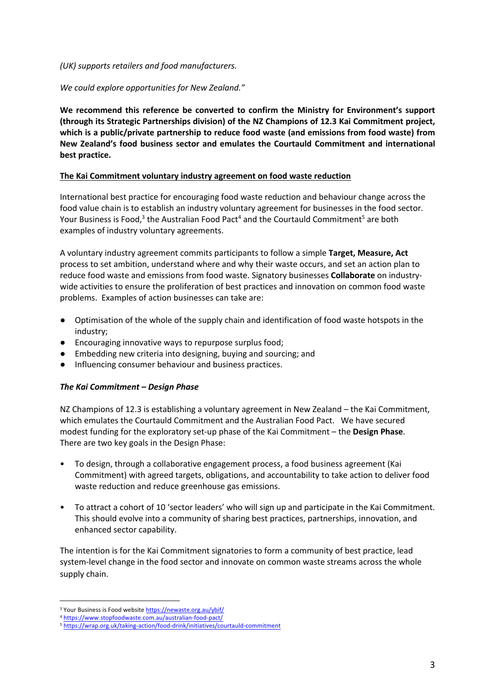## *(UK) supports retailers and food manufacturers.*

# *We could explore opportunities for New Zealand."*

**We recommend this reference be converted to confirm the Ministry for Environment's support (through its Strategic Partnerships division) of the NZ Champions of 12.3 Kai Commitment project, which is a public/private partnership to reduce food waste (and emissions from food waste) from New Zealand's food business sector and emulates the Courtauld Commitment and international best practice.**

## **The Kai Commitment voluntary industry agreement on food waste reduction**

International best practice for encouraging food waste reduction and behaviour change across the food value chain is to establish an industry voluntary agreement for businesses in the food sector. Your Business is Food, $3$  the Australian Food Pact<sup>4</sup> and the Courtauld Commitment<sup>5</sup> are both examples of industry voluntary agreements.

A voluntary industry agreement commits participants to follow a simple **Target, Measure, Act**  process to set ambition, understand where and why their waste occurs, and set an action plan to reduce food waste and emissions from food waste. Signatory businesses **Collaborate** on industrywide activities to ensure the proliferation of best practices and innovation on common food waste problems. Examples of action businesses can take are:

- Optimisation of the whole of the supply chain and identification of food waste hotspots in the industry;
- Encouraging innovative ways to repurpose surplus food;
- Embedding new criteria into designing, buying and sourcing; and
- Influencing consumer behaviour and business practices.

# *The Kai Commitment – Design Phase*

NZ Champions of 12.3 is establishing a voluntary agreement in New Zealand – the Kai Commitment, which emulates the Courtauld Commitment and the Australian Food Pact. We have secured modest funding for the exploratory set-up phase of the Kai Commitment – the **Design Phase**. There are two key goals in the Design Phase:

- To design, through a collaborative engagement process, a food business agreement (Kai Commitment) with agreed targets, obligations, and accountability to take action to deliver food waste reduction and reduce greenhouse gas emissions.
- To attract a cohort of 10 'sector leaders' who will sign up and participate in the Kai Commitment. This should evolve into a community of sharing best practices, partnerships, innovation, and enhanced sector capability.

The intention is for the Kai Commitment signatories to form a community of best practice, lead system-level change in the food sector and innovate on common waste streams across the whole supply chain.

<sup>&</sup>lt;sup>3</sup> Your Business is Food website https://newaste.org.au/ybif/

<sup>4</sup> https://www.stopfoodwaste.com.au/australian-food-pact/

<sup>5</sup> https://wrap.org.uk/taking-action/food-drink/initiatives/courtauld-commitment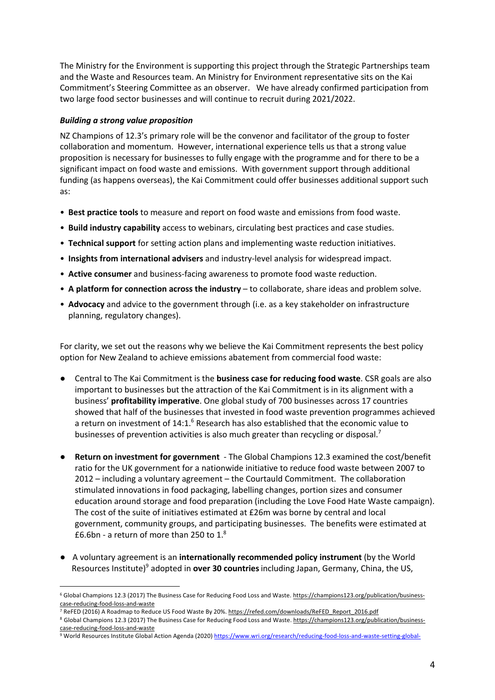The Ministry for the Environment is supporting this project through the Strategic Partnerships team and the Waste and Resources team. An Ministry for Environment representative sits on the Kai Commitment's Steering Committee as an observer. We have already confirmed participation from two large food sector businesses and will continue to recruit during 2021/2022.

# *Building a strong value proposition*

NZ Champions of 12.3's primary role will be the convenor and facilitator of the group to foster collaboration and momentum. However, international experience tells us that a strong value proposition is necessary for businesses to fully engage with the programme and for there to be a significant impact on food waste and emissions. With government support through additional funding (as happens overseas), the Kai Commitment could offer businesses additional support such as:

- **Best practice tools** to measure and report on food waste and emissions from food waste.
- **Build industry capability** access to webinars, circulating best practices and case studies.
- **Technical support** for setting action plans and implementing waste reduction initiatives.
- **Insights from international advisers** and industry-level analysis for widespread impact.
- **Active consumer** and business-facing awareness to promote food waste reduction.
- **A platform for connection across the industry**  to collaborate, share ideas and problem solve.
- **Advocacy** and advice to the government through (i.e. as a key stakeholder on infrastructure planning, regulatory changes).

For clarity, we set out the reasons why we believe the Kai Commitment represents the best policy option for New Zealand to achieve emissions abatement from commercial food waste:

- Central to The Kai Commitment is the **business case for reducing food waste**. CSR goals are also important to businesses but the attraction of the Kai Commitment is in its alignment with a business' **profitability imperative**. One global study of 700 businesses across 17 countries showed that half of the businesses that invested in food waste prevention programmes achieved a return on investment of 14:1.<sup>6</sup> Research has also established that the economic value to businesses of prevention activities is also much greater than recycling or disposal.<sup>7</sup>
- **Return on investment for government**  The Global Champions 12.3 examined the cost/benefit ratio for the UK government for a nationwide initiative to reduce food waste between 2007 to 2012 – including a voluntary agreement – the Courtauld Commitment. The collaboration stimulated innovations in food packaging, labelling changes, portion sizes and consumer education around storage and food preparation (including the Love Food Hate Waste campaign). The cost of the suite of initiatives estimated at £26m was borne by central and local government, community groups, and participating businesses. The benefits were estimated at  $\frac{26}{10}$ .6bn - a return of more than 250 to 1.8
- **●** A voluntary agreement is an **internationally recommended policy instrument** (by the World Resources Institute)9 adopted in **over 30 countries**including Japan, Germany, China, the US,

<sup>&</sup>lt;sup>6</sup> Global Champions 12.3 (2017) The Business Case for Reducing Food Loss and Waste. https://champions123.org/publication/businesscase-reducing-food-loss-and-waste<br><sup>7</sup> ReFED (2016) A Roadmap to Reduce US Food Waste By 20%. https://refed.com/downloads/ReFED Report 2016.pdf

<sup>&</sup>lt;sup>8</sup> Global Champions 12.3 (2017) The Business Case for Reducing Food Loss and Waste. https://champions123.org/publication/businesscase-reducing-food-loss-and-waste

<sup>9</sup> World Resources Institute Global Action Agenda (2020) https://www.wri.org/research/reducing-food-loss-and-waste-setting-global-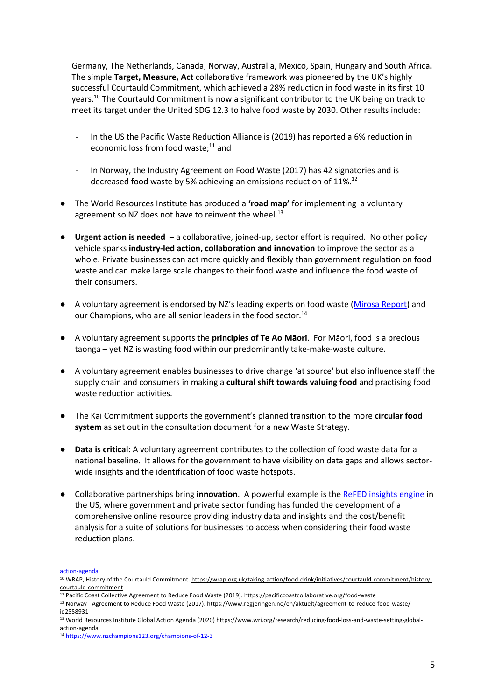Germany, The Netherlands, Canada, Norway, Australia, Mexico, Spain, Hungary and South Africa**.** The simple **Target, Measure, Act** collaborative framework was pioneered by the UK's highly successful Courtauld Commitment, which achieved a 28% reduction in food waste in its first 10 years.10 The Courtauld Commitment is now a significant contributor to the UK being on track to meet its target under the United SDG 12.3 to halve food waste by 2030. Other results include:

- In the US the Pacific Waste Reduction Alliance is (2019) has reported a 6% reduction in economic loss from food waste; $11$  and
- In Norway, the Industry Agreement on Food Waste (2017) has 42 signatories and is decreased food waste by 5% achieving an emissions reduction of 11%.<sup>12</sup>
- The World Resources Institute has produced a **'road map'** for implementing a voluntary agreement so NZ does not have to reinvent the wheel. $^{13}$
- **Urgent action is needed**  a collaborative, joined-up, sector effort is required. No other policy vehicle sparks **industry-led action, collaboration and innovation** to improve the sector as a whole. Private businesses can act more quickly and flexibly than government regulation on food waste and can make large scale changes to their food waste and influence the food waste of their consumers.
- A voluntary agreement is endorsed by NZ's leading experts on food waste (Mirosa Report) and our Champions, who are all senior leaders in the food sector.<sup>14</sup>
- A voluntary agreement supports the **principles of Te Ao Māori**. For Māori, food is a precious taonga – yet NZ is wasting food within our predominantly take-make-waste culture.
- A voluntary agreement enables businesses to drive change 'at source' but also influence staff the supply chain and consumers in making a **cultural shift towards valuing food** and practising food waste reduction activities.
- The Kai Commitment supports the government's planned transition to the more **circular food system** as set out in the consultation document for a new Waste Strategy.
- **Data is critical**: A voluntary agreement contributes to the collection of food waste data for a national baseline. It allows for the government to have visibility on data gaps and allows sectorwide insights and the identification of food waste hotspots.
- Collaborative partnerships bring **innovation**. A powerful example is the ReFED insights engine in the US, where government and private sector funding has funded the development of a comprehensive online resource providing industry data and insights and the cost/benefit analysis for a suite of solutions for businesses to access when considering their food waste reduction plans.

action-agenda

<sup>&</sup>lt;sup>10</sup> WRAP, History of the Courtauld Commitment. https://wrap.org.uk/taking-action/food-drink/initiatives/courtauld-commitment/historycourtauld-commitment

<sup>11</sup> Pacific Coast Collective Agreement to Reduce Food Waste (2019). https://pacificcoastcollaborative.org/food-waste

<sup>12</sup> Norway - Agreement to Reduce Food Waste (2017). https://www.regjeringen.no/en/aktuelt/agreement-to-reduce-food-waste/ id2558931

<sup>13</sup> World Resources Institute Global Action Agenda (2020) https://www.wri.org/research/reducing-food-loss-and-waste-setting-globalaction-agenda

<sup>14</sup> https://www.nzchampions123.org/champions-of-12-3